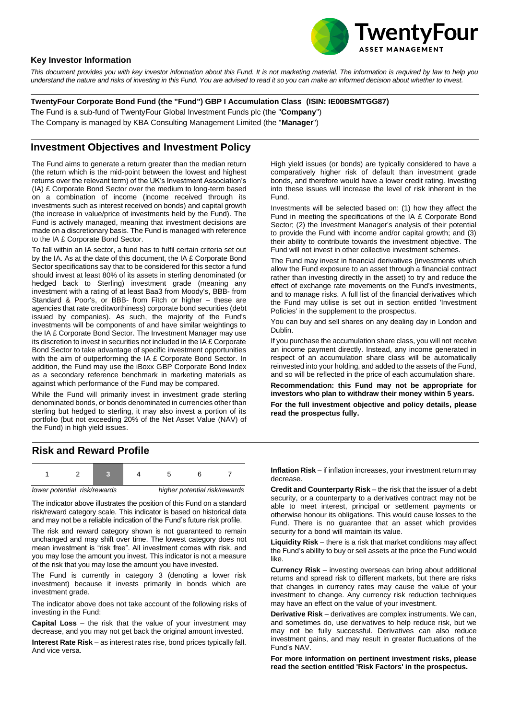

### **Key Investor Information**

*This document provides you with key investor information about this Fund. It is not marketing material. The information is required by law to help you understand the nature and risks of investing in this Fund. You are advised to read it so you can make an informed decision about whether to invest.*

**TwentyFour Corporate Bond Fund (the "Fund") GBP I Accumulation Class (ISIN: IE00BSMTGG87)**

The Fund is a sub-fund of TwentyFour Global Investment Funds plc (the "**Company**")

The Company is managed by KBA Consulting Management Limited (the "**Manager**")

### **Investment Objectives and Investment Policy**

The Fund aims to generate a return greater than the median return (the return which is the mid-point between the lowest and highest returns over the relevant term) of the UK's Investment Association's (IA) £ Corporate Bond Sector over the medium to long-term based on a combination of income (income received through its investments such as interest received on bonds) and capital growth (the increase in value/price of investments held by the Fund). The Fund is actively managed, meaning that investment decisions are made on a discretionary basis. The Fund is managed with reference to the IA £ Corporate Bond Sector.

To fall within an IA sector, a fund has to fulfil certain criteria set out by the IA. As at the date of this document, the IA £ Corporate Bond Sector specifications say that to be considered for this sector a fund should invest at least 80% of its assets in sterling denominated (or hedged back to Sterling) investment grade (meaning any investment with a rating of at least Baa3 from Moody's, BBB- from Standard & Poor's, or BBB- from Fitch or higher – these are agencies that rate creditworthiness) corporate bond securities (debt issued by companies). As such, the majority of the Fund's investments will be components of and have similar weightings to the IA £ Corporate Bond Sector. The Investment Manager may use its discretion to invest in securities not included in the IA £ Corporate Bond Sector to take advantage of specific investment opportunities with the aim of outperforming the IA £ Corporate Bond Sector. In addition, the Fund may use the iBoxx GBP Corporate Bond Index as a secondary reference benchmark in marketing materials as against which performance of the Fund may be compared.

While the Fund will primarily invest in investment grade sterling denominated bonds, or bonds denominated in currencies other than sterling but hedged to sterling, it may also invest a portion of its portfolio (but not exceeding 20% of the Net Asset Value (NAV) of the Fund) in high yield issues.

High yield issues (or bonds) are typically considered to have a comparatively higher risk of default than investment grade bonds, and therefore would have a lower credit rating. Investing into these issues will increase the level of risk inherent in the Fund.

Investments will be selected based on: (1) how they affect the Fund in meeting the specifications of the IA £ Corporate Bond Sector; (2) the Investment Manager's analysis of their potential to provide the Fund with income and/or capital growth; and (3) their ability to contribute towards the investment objective. The Fund will not invest in other collective investment schemes.

The Fund may invest in financial derivatives (investments which allow the Fund exposure to an asset through a financial contract rather than investing directly in the asset) to try and reduce the effect of exchange rate movements on the Fund's investments, and to manage risks. A full list of the financial derivatives which the Fund may utilise is set out in section entitled 'Investment Policies' in the supplement to the prospectus.

You can buy and sell shares on any dealing day in London and Dublin.

If you purchase the accumulation share class, you will not receive an income payment directly. Instead, any income generated in respect of an accumulation share class will be automatically reinvested into your holding, and added to the assets of the Fund, and so will be reflected in the price of each accumulation share.

**Recommendation: this Fund may not be appropriate for investors who plan to withdraw their money within 5 years.**

**For the full investment objective and policy details, please read the prospectus fully.**

## **Risk and Reward Profile**



The indicator above illustrates the position of this Fund on a standard risk/reward category scale. This indicator is based on historical data and may not be a reliable indication of the Fund's future risk profile.

The risk and reward category shown is not guaranteed to remain unchanged and may shift over time. The lowest category does not mean investment is "risk free". All investment comes with risk, and you may lose the amount you invest. This indicator is not a measure of the risk that you may lose the amount you have invested.

The Fund is currently in category 3 (denoting a lower risk investment) because it invests primarily in bonds which are investment grade.

The indicator above does not take account of the following risks of investing in the Fund:

**Capital Loss** – the risk that the value of your investment may decrease, and you may not get back the original amount invested.

**Interest Rate Risk** – as interest rates rise, bond prices typically fall. And vice versa.

**Inflation Risk** – if inflation increases, your investment return may decrease.

**Credit and Counterparty Risk** – the risk that the issuer of a debt security, or a counterparty to a derivatives contract may not be able to meet interest, principal or settlement payments or otherwise honour its obligations. This would cause losses to the Fund. There is no guarantee that an asset which provides security for a bond will maintain its value.

**Liquidity Risk** – there is a risk that market conditions may affect the Fund's ability to buy or sell assets at the price the Fund would like.

**Currency Risk** – investing overseas can bring about additional returns and spread risk to different markets, but there are risks that changes in currency rates may cause the value of your investment to change. Any currency risk reduction techniques may have an effect on the value of your investment.

**Derivative Risk** – derivatives are complex instruments. We can, and sometimes do, use derivatives to help reduce risk, but we may not be fully successful. Derivatives can also reduce investment gains, and may result in greater fluctuations of the Fund's NAV.

**For more information on pertinent investment risks, please read the section entitled 'Risk Factors' in the prospectus.**